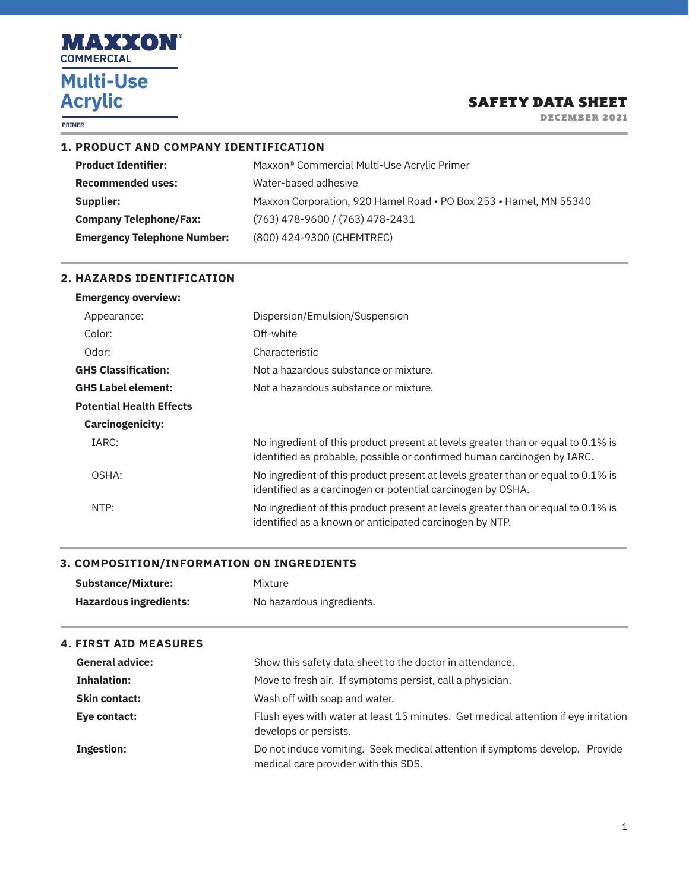

**PRIMER**

## SAFETY DATA SHEET

DECEMBER 2021

## **1. PRODUCT AND COMPANY IDENTIFICATION**

| Maxxon <sup>®</sup> Commercial Multi-Use Acrylic Primer           |
|-------------------------------------------------------------------|
| Water-based adhesive                                              |
| Maxxon Corporation, 920 Hamel Road • PO Box 253 • Hamel, MN 55340 |
| $(763)$ 478-9600 / (763) 478-2431                                 |
| (800) 424-9300 (CHEMTREC)                                         |
|                                                                   |

## **2. HAZARDS IDENTIFICATION**

| <b>Emergency overview:</b>      |                                                                                                                                                             |
|---------------------------------|-------------------------------------------------------------------------------------------------------------------------------------------------------------|
| Appearance:                     | Dispersion/Emulsion/Suspension                                                                                                                              |
| Color:                          | Off-white                                                                                                                                                   |
| Odor:                           | Characteristic                                                                                                                                              |
| <b>GHS Classification:</b>      | Not a hazardous substance or mixture.                                                                                                                       |
| <b>GHS Label element:</b>       | Not a hazardous substance or mixture.                                                                                                                       |
| <b>Potential Health Effects</b> |                                                                                                                                                             |
| <b>Carcinogenicity:</b>         |                                                                                                                                                             |
| IARC:                           | No ingredient of this product present at levels greater than or equal to 0.1% is<br>identified as probable, possible or confirmed human carcinogen by IARC. |
| OSHA:                           | No ingredient of this product present at levels greater than or equal to 0.1% is<br>identified as a carcinogen or potential carcinogen by OSHA.             |
| NTP:                            | No ingredient of this product present at levels greater than or equal to 0.1% is<br>identified as a known or anticipated carcinogen by NTP.                 |

#### **3. COMPOSITION/INFORMATION ON INGREDIENTS**

| <b>Substance/Mixture:</b>     | Mixture                   |
|-------------------------------|---------------------------|
| <b>Hazardous ingredients:</b> | No hazardous ingredients. |

## **4. FIRST AID MEASURES**

| <b>General advice:</b> | Show this safety data sheet to the doctor in attendance.                                                            |
|------------------------|---------------------------------------------------------------------------------------------------------------------|
| <b>Inhalation:</b>     | Move to fresh air. If symptoms persist, call a physician.                                                           |
| <b>Skin contact:</b>   | Wash off with soap and water.                                                                                       |
| Eye contact:           | Flush eyes with water at least 15 minutes. Get medical attention if eye irritation<br>develops or persists.         |
| Ingestion:             | Do not induce vomiting. Seek medical attention if symptoms develop. Provide<br>medical care provider with this SDS. |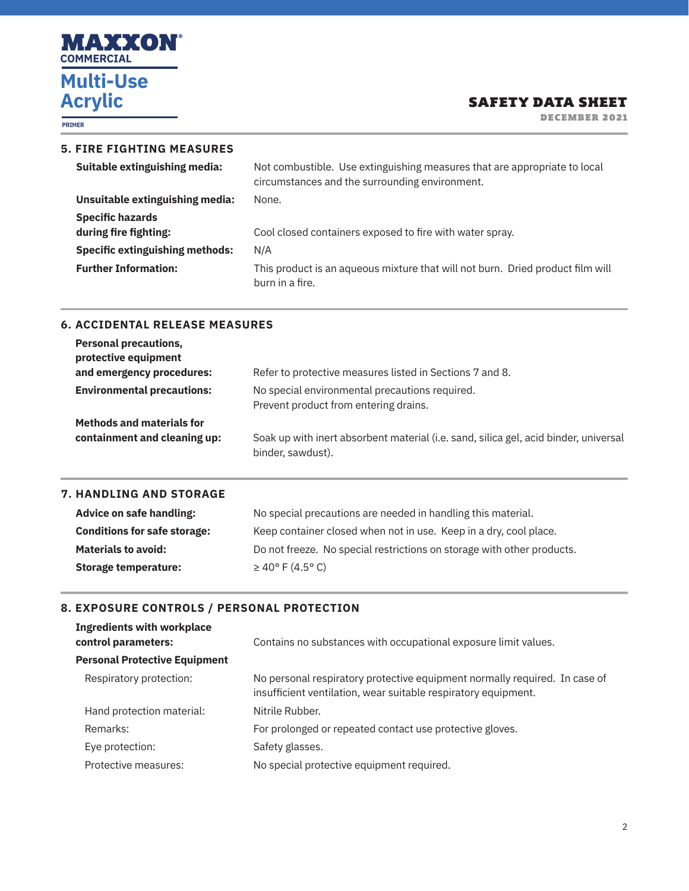

**PRIMER**

# SAFETY DATA SHEET

DECEMBER 2021

## **5. FIRE FIGHTING MEASURES**

| Suitable extinguishing media:          | Not combustible. Use extinguishing measures that are appropriate to local<br>circumstances and the surrounding environment. |
|----------------------------------------|-----------------------------------------------------------------------------------------------------------------------------|
| Unsuitable extinguishing media:        | None.                                                                                                                       |
| <b>Specific hazards</b>                |                                                                                                                             |
| during fire fighting:                  | Cool closed containers exposed to fire with water spray.                                                                    |
| <b>Specific extinguishing methods:</b> | N/A                                                                                                                         |
| <b>Further Information:</b>            | This product is an agueous mixture that will not burn. Dried product film will<br>burn in a fire.                           |

### **6. ACCIDENTAL RELEASE MEASURES**

| <b>Personal precautions,</b><br>protective equipment<br>and emergency procedures: | Refer to protective measures listed in Sections 7 and 8.                                                  |
|-----------------------------------------------------------------------------------|-----------------------------------------------------------------------------------------------------------|
| <b>Environmental precautions:</b>                                                 | No special environmental precautions required.<br>Prevent product from entering drains.                   |
| <b>Methods and materials for</b><br>containment and cleaning up:                  | Soak up with inert absorbent material (i.e. sand, silica gel, acid binder, universal<br>binder, sawdust). |

## **7. HANDLING AND STORAGE**

| Advice on safe handling:            | No special precautions are needed in handling this material.           |
|-------------------------------------|------------------------------------------------------------------------|
| <b>Conditions for safe storage:</b> | Keep container closed when not in use. Keep in a dry, cool place.      |
| <b>Materials to avoid:</b>          | Do not freeze. No special restrictions on storage with other products. |
| Storage temperature:                | $\geq 40^{\circ}$ F (4.5° C)                                           |

## **8. EXPOSURE CONTROLS / PERSONAL PROTECTION**

| <b>Ingredients with workplace</b><br>control parameters: | Contains no substances with occupational exposure limit values.                                                                              |
|----------------------------------------------------------|----------------------------------------------------------------------------------------------------------------------------------------------|
| <b>Personal Protective Equipment</b>                     |                                                                                                                                              |
| Respiratory protection:                                  | No personal respiratory protective equipment normally required. In case of<br>insufficient ventilation, wear suitable respiratory equipment. |
| Hand protection material:                                | Nitrile Rubber.                                                                                                                              |
| Remarks:                                                 | For prolonged or repeated contact use protective gloves.                                                                                     |
| Eye protection:                                          | Safety glasses.                                                                                                                              |
| Protective measures:                                     | No special protective equipment required.                                                                                                    |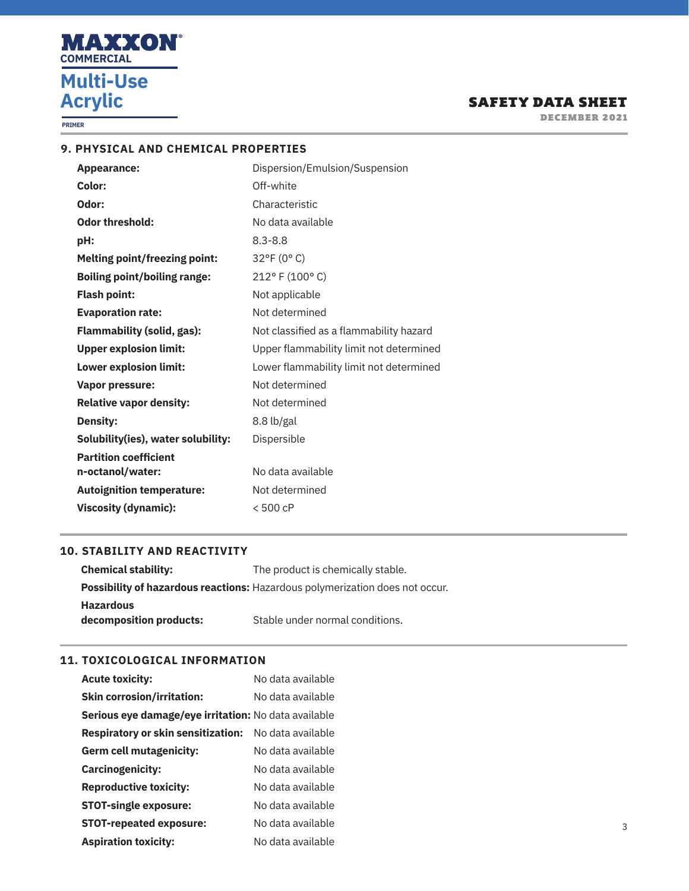

**PRIMER**

# SAFETY DATA SHEET

DECEMBER 2021

## **9. PHYSICAL AND CHEMICAL PROPERTIES**

| <b>Appearance:</b>                   | Dispersion/Emulsion/Suspension          |
|--------------------------------------|-----------------------------------------|
| Color:                               | Off-white                               |
| Odor:                                | Characteristic                          |
| <b>Odor threshold:</b>               | No data available                       |
| pH:                                  | $8.3 - 8.8$                             |
| <b>Melting point/freezing point:</b> | 32°F (0°C)                              |
| <b>Boiling point/boiling range:</b>  | 212° F (100° C)                         |
| <b>Flash point:</b>                  | Not applicable                          |
| <b>Evaporation rate:</b>             | Not determined                          |
| <b>Flammability (solid, gas):</b>    | Not classified as a flammability hazard |
| <b>Upper explosion limit:</b>        | Upper flammability limit not determined |
| <b>Lower explosion limit:</b>        | Lower flammability limit not determined |
| <b>Vapor pressure:</b>               | Not determined                          |
| <b>Relative vapor density:</b>       | Not determined                          |
| <b>Density:</b>                      | 8.8 lb/gal                              |
| Solubility(ies), water solubility:   | Dispersible                             |
| <b>Partition coefficient</b>         |                                         |
| n-octanol/water:                     | No data available                       |
| <b>Autoignition temperature:</b>     | Not determined                          |
| <b>Viscosity (dynamic):</b>          | $< 500$ cP                              |

## **10. STABILITY AND REACTIVITY**

| <b>Chemical stability:</b> | The product is chemically stable.                                                   |
|----------------------------|-------------------------------------------------------------------------------------|
|                            | <b>Possibility of hazardous reactions:</b> Hazardous polymerization does not occur. |
| <b>Hazardous</b>           |                                                                                     |
| decomposition products:    | Stable under normal conditions.                                                     |

## **11. TOXICOLOGICAL INFORMATION**

| <b>Acute toxicity:</b>                                      | No data available |
|-------------------------------------------------------------|-------------------|
| <b>Skin corrosion/irritation:</b>                           | No data available |
| <b>Serious eye damage/eye irritation:</b> No data available |                   |
| <b>Respiratory or skin sensitization:</b>                   | No data available |
| <b>Germ cell mutagenicity:</b>                              | No data available |
| <b>Carcinogenicity:</b>                                     | No data available |
| <b>Reproductive toxicity:</b>                               | No data available |
| <b>STOT-single exposure:</b>                                | No data available |
| <b>STOT-repeated exposure:</b>                              | No data available |
| <b>Aspiration toxicity:</b>                                 | No data available |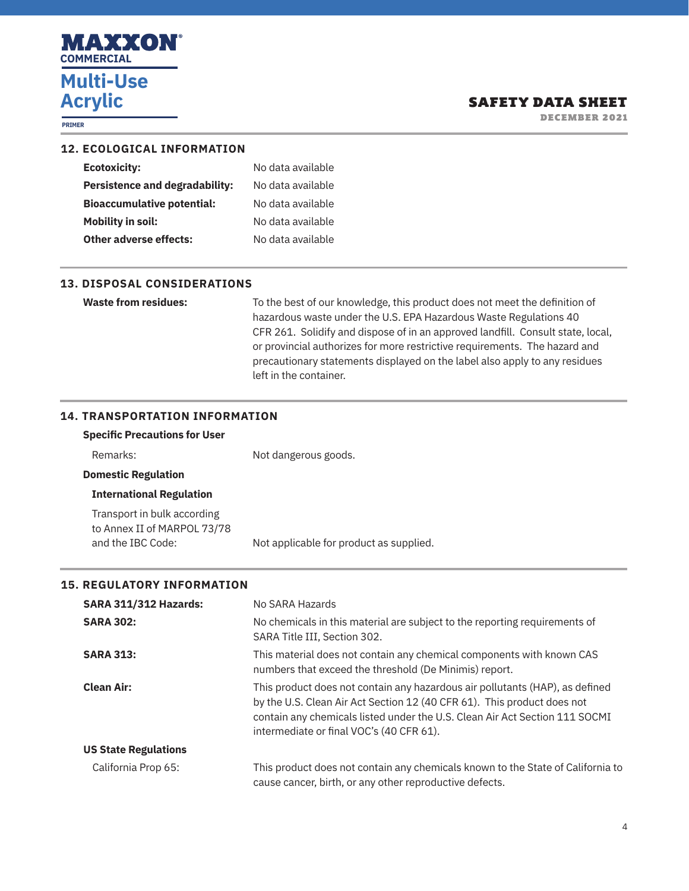

**PRIMER**

DECEMBER 2021

| <b>12. ECOLOGICAL INFORMATION</b> |  |
|-----------------------------------|--|
|-----------------------------------|--|

| No data available |
|-------------------|
| No data available |
| No data available |
| No data available |
| No data available |
|                   |

## **13. DISPOSAL CONSIDERATIONS**

**Waste from residues:** To the best of our knowledge, this product does not meet the definition of hazardous waste under the U.S. EPA Hazardous Waste Regulations 40 CFR 261. Solidify and dispose of in an approved landfill. Consult state, local, or provincial authorizes for more restrictive requirements. The hazard and precautionary statements displayed on the label also apply to any residues left in the container.

## **14. TRANSPORTATION INFORMATION**

| <b>Specific Precautions for User</b>                                            |                                         |
|---------------------------------------------------------------------------------|-----------------------------------------|
| Remarks:                                                                        | Not dangerous goods.                    |
| <b>Domestic Regulation</b>                                                      |                                         |
| <b>International Regulation</b>                                                 |                                         |
| Transport in bulk according<br>to Annex II of MARPOL 73/78<br>and the IBC Code: | Not applicable for product as supplied. |

## **15. REGULATORY INFORMATION**

| <b>SARA 311/312 Hazards:</b> | No SARA Hazards                                                                                                                                                                                                                                                                    |  |  |
|------------------------------|------------------------------------------------------------------------------------------------------------------------------------------------------------------------------------------------------------------------------------------------------------------------------------|--|--|
| <b>SARA 302:</b>             | No chemicals in this material are subject to the reporting requirements of<br>SARA Title III, Section 302.                                                                                                                                                                         |  |  |
| <b>SARA 313:</b>             | This material does not contain any chemical components with known CAS<br>numbers that exceed the threshold (De Minimis) report.                                                                                                                                                    |  |  |
| <b>Clean Air:</b>            | This product does not contain any hazardous air pollutants (HAP), as defined<br>by the U.S. Clean Air Act Section 12 (40 CFR 61). This product does not<br>contain any chemicals listed under the U.S. Clean Air Act Section 111 SOCMI<br>intermediate or final VOC's (40 CFR 61). |  |  |
| <b>US State Regulations</b>  |                                                                                                                                                                                                                                                                                    |  |  |
| California Prop 65:          | This product does not contain any chemicals known to the State of California to<br>cause cancer, birth, or any other reproductive defects.                                                                                                                                         |  |  |